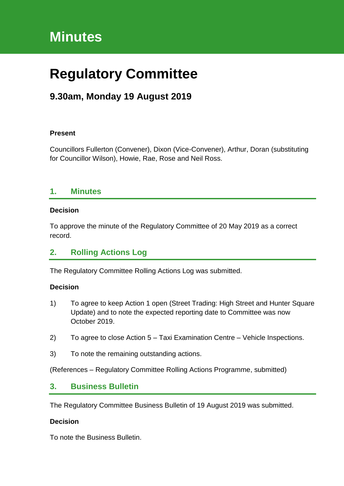# **Minutes**

# **Regulatory Committee**

# **9.30am, Monday 19 August 2019**

#### **Present**

Councillors Fullerton (Convener), Dixon (Vice-Convener), Arthur, Doran (substituting for Councillor Wilson), Howie, Rae, Rose and Neil Ross.

### **1. Minutes**

#### **Decision**

To approve the minute of the Regulatory Committee of 20 May 2019 as a correct record.

## **2. Rolling Actions Log**

The Regulatory Committee Rolling Actions Log was submitted.

#### **Decision**

- 1) To agree to keep Action 1 open (Street Trading: High Street and Hunter Square Update) and to note the expected reporting date to Committee was now October 2019.
- 2) To agree to close Action 5 Taxi Examination Centre Vehicle Inspections.
- 3) To note the remaining outstanding actions.

(References – Regulatory Committee Rolling Actions Programme, submitted)

### **3. Business Bulletin**

The Regulatory Committee Business Bulletin of 19 August 2019 was submitted.

#### **Decision**

To note the Business Bulletin.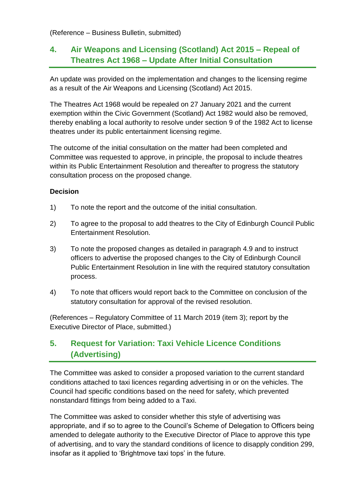(Reference – Business Bulletin, submitted)

# **4. Air Weapons and Licensing (Scotland) Act 2015 – Repeal of Theatres Act 1968 – Update After Initial Consultation**

An update was provided on the implementation and changes to the licensing regime as a result of the Air Weapons and Licensing (Scotland) Act 2015.

The Theatres Act 1968 would be repealed on 27 January 2021 and the current exemption within the Civic Government (Scotland) Act 1982 would also be removed, thereby enabling a local authority to resolve under section 9 of the 1982 Act to license theatres under its public entertainment licensing regime.

The outcome of the initial consultation on the matter had been completed and Committee was requested to approve, in principle, the proposal to include theatres within its Public Entertainment Resolution and thereafter to progress the statutory consultation process on the proposed change.

#### **Decision**

- 1) To note the report and the outcome of the initial consultation.
- 2) To agree to the proposal to add theatres to the City of Edinburgh Council Public Entertainment Resolution.
- 3) To note the proposed changes as detailed in paragraph 4.9 and to instruct officers to advertise the proposed changes to the City of Edinburgh Council Public Entertainment Resolution in line with the required statutory consultation process.
- 4) To note that officers would report back to the Committee on conclusion of the statutory consultation for approval of the revised resolution.

(References – Regulatory Committee of 11 March 2019 (item 3); report by the Executive Director of Place, submitted.)

## **5. Request for Variation: Taxi Vehicle Licence Conditions (Advertising)**

The Committee was asked to consider a proposed variation to the current standard conditions attached to taxi licences regarding advertising in or on the vehicles. The Council had specific conditions based on the need for safety, which prevented nonstandard fittings from being added to a Taxi.

The Committee was asked to consider whether this style of advertising was appropriate, and if so to agree to the Council's Scheme of Delegation to Officers being amended to delegate authority to the Executive Director of Place to approve this type of advertising, and to vary the standard conditions of licence to disapply condition 299, insofar as it applied to 'Brightmove taxi tops' in the future.